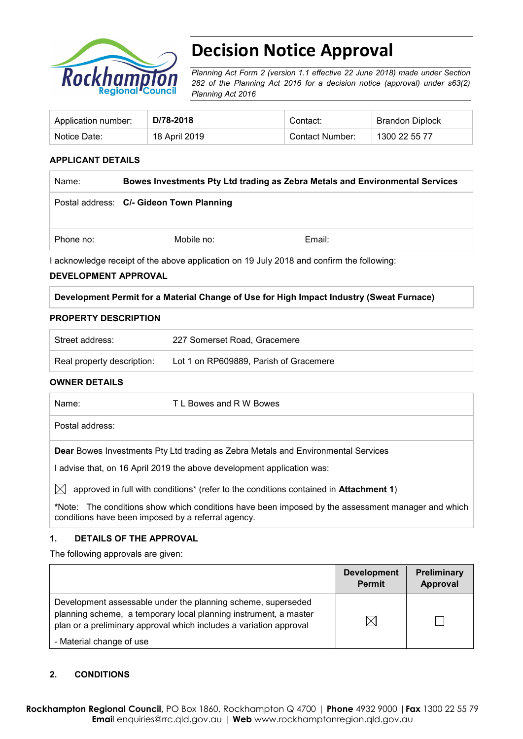

# **Decision Notice Approval**

*Planning Act Form 2 (version 1.1 effective 22 June 2018) made under Section 282 of the Planning Act 2016 for a decision notice (approval) under s63(2) Planning Act 2016*

| Application number: | D/78-2018     | Contact:        | <b>Brandon Diplock</b> |
|---------------------|---------------|-----------------|------------------------|
| Notice Date:        | 18 April 2019 | Contact Number: | 1300 22 55 77          |

#### **APPLICANT DETAILS**

| Name:                                                                                    | Bowes Investments Pty Ltd trading as Zebra Metals and Environmental Services |        |
|------------------------------------------------------------------------------------------|------------------------------------------------------------------------------|--------|
|                                                                                          | Postal address: C/- Gideon Town Planning                                     |        |
| Phone no:                                                                                | Mobile no:                                                                   | Email: |
| Lacknowledge receipt of the above application on 19 July 2018 and confirm the following: |                                                                              |        |

I acknowledge receipt of the above application on 19 July 2018 and confirm the following:

#### **DEVELOPMENT APPROVAL**

#### **Development Permit for a Material Change of Use for High Impact Industry (Sweat Furnace)**

#### **PROPERTY DESCRIPTION**

| Street address:            | 227 Somerset Road, Gracemere           |
|----------------------------|----------------------------------------|
| Real property description: | Lot 1 on RP609889, Parish of Gracemere |

#### **OWNER DETAILS**

| Name:                                                                                                                                                            | T L Bowes and R W Bowes |
|------------------------------------------------------------------------------------------------------------------------------------------------------------------|-------------------------|
| Postal address:                                                                                                                                                  |                         |
| <b>Dear</b> Bowes Investments Pty Ltd trading as Zebra Metals and Environmental Services<br>advise that, on 16 April 2019 the above development application was: |                         |

 $\boxtimes$  approved in full with conditions<sup>\*</sup> (refer to the conditions contained in **Attachment 1**)

**\***Note:The conditions show which conditions have been imposed by the assessment manager and which conditions have been imposed by a referral agency.

#### **1. DETAILS OF THE APPROVAL**

The following approvals are given:

|                                                                                                                                                                                                        | <b>Development</b><br><b>Permit</b> | Preliminary<br>Approval |
|--------------------------------------------------------------------------------------------------------------------------------------------------------------------------------------------------------|-------------------------------------|-------------------------|
| Development assessable under the planning scheme, superseded<br>planning scheme, a temporary local planning instrument, a master<br>plan or a preliminary approval which includes a variation approval | $\boxtimes$                         |                         |
| - Material change of use                                                                                                                                                                               |                                     |                         |

## **2. CONDITIONS**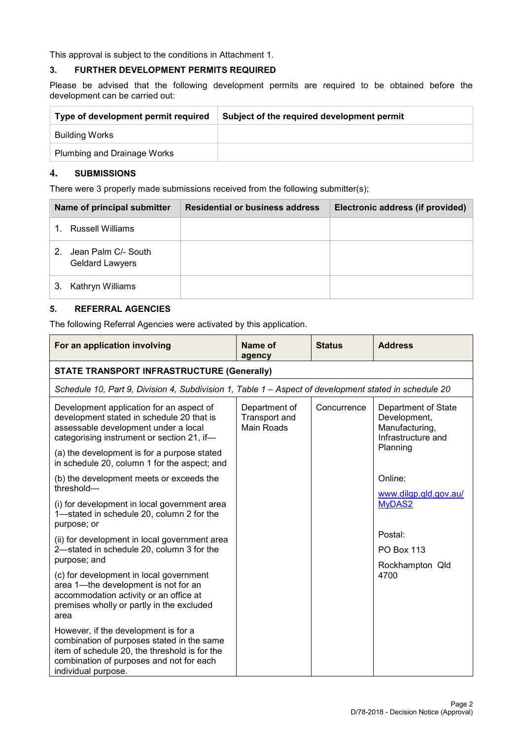This approval is subject to the conditions in Attachment 1.

#### **3. FURTHER DEVELOPMENT PERMITS REQUIRED**

Please be advised that the following development permits are required to be obtained before the development can be carried out:

| Type of development permit required | Subject of the required development permit |
|-------------------------------------|--------------------------------------------|
| Building Works                      |                                            |
| Plumbing and Drainage Works         |                                            |

#### **4. SUBMISSIONS**

There were 3 properly made submissions received from the following submitter(s);

| Name of principal submitter                         | <b>Residential or business address</b> | Electronic address (if provided) |
|-----------------------------------------------------|----------------------------------------|----------------------------------|
| Russell Williams                                    |                                        |                                  |
| Jean Palm C/- South<br>2.<br><b>Geldard Lawyers</b> |                                        |                                  |
| Kathryn Williams<br>З.                              |                                        |                                  |

#### **5. REFERRAL AGENCIES**

The following Referral Agencies were activated by this application.

| For an application involving                                                                                                                                                                           | Name of<br>agency                            | <b>Status</b> | <b>Address</b>                                                              |
|--------------------------------------------------------------------------------------------------------------------------------------------------------------------------------------------------------|----------------------------------------------|---------------|-----------------------------------------------------------------------------|
| <b>STATE TRANSPORT INFRASTRUCTURE (Generally)</b>                                                                                                                                                      |                                              |               |                                                                             |
| Schedule 10, Part 9, Division 4, Subdivision 1, Table 1 - Aspect of development stated in schedule 20                                                                                                  |                                              |               |                                                                             |
| Development application for an aspect of<br>development stated in schedule 20 that is<br>assessable development under a local<br>categorising instrument or section 21, if-                            | Department of<br>Transport and<br>Main Roads | Concurrence   | Department of State<br>Development,<br>Manufacturing,<br>Infrastructure and |
| (a) the development is for a purpose stated<br>in schedule 20, column 1 for the aspect; and                                                                                                            |                                              |               | Planning                                                                    |
| (b) the development meets or exceeds the<br>threshold-                                                                                                                                                 |                                              |               | Online:<br>www.dilgp.qld.gov.au/                                            |
| (i) for development in local government area<br>1-stated in schedule 20, column 2 for the<br>purpose; or                                                                                               |                                              |               | MyDAS2                                                                      |
| (ii) for development in local government area                                                                                                                                                          |                                              |               | Postal:                                                                     |
| 2-stated in schedule 20, column 3 for the<br>purpose; and                                                                                                                                              |                                              |               | <b>PO Box 113</b>                                                           |
| (c) for development in local government<br>area 1—the development is not for an<br>accommodation activity or an office at<br>premises wholly or partly in the excluded<br>area                         |                                              |               | Rockhampton Qld<br>4700                                                     |
| However, if the development is for a<br>combination of purposes stated in the same<br>item of schedule 20, the threshold is for the<br>combination of purposes and not for each<br>individual purpose. |                                              |               |                                                                             |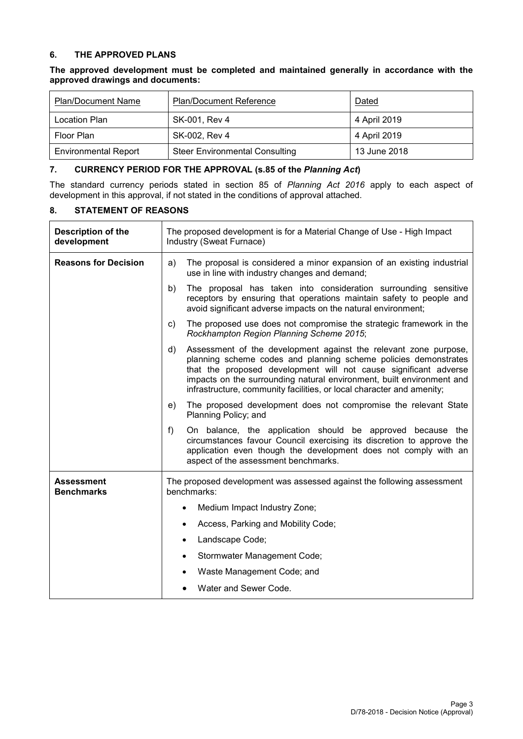#### **6. THE APPROVED PLANS**

**The approved development must be completed and maintained generally in accordance with the approved drawings and documents:**

| <b>Plan/Document Name</b>   | <b>Plan/Document Reference</b>        | Dated        |
|-----------------------------|---------------------------------------|--------------|
| Location Plan               | SK-001, Rev 4                         | 4 April 2019 |
| Floor Plan                  | SK-002, Rev 4                         | 4 April 2019 |
| <b>Environmental Report</b> | <b>Steer Environmental Consulting</b> | 13 June 2018 |

#### **7. CURRENCY PERIOD FOR THE APPROVAL (s.85 of the** *Planning Act***)**

The standard currency periods stated in section 85 of *Planning Act 2016* apply to each aspect of development in this approval, if not stated in the conditions of approval attached.

#### **8. STATEMENT OF REASONS**

| <b>Description of the</b><br>development | The proposed development is for a Material Change of Use - High Impact<br>Industry (Sweat Furnace)                                                                                                                                                                                                                                                              |
|------------------------------------------|-----------------------------------------------------------------------------------------------------------------------------------------------------------------------------------------------------------------------------------------------------------------------------------------------------------------------------------------------------------------|
| <b>Reasons for Decision</b>              | The proposal is considered a minor expansion of an existing industrial<br>a)<br>use in line with industry changes and demand;                                                                                                                                                                                                                                   |
|                                          | The proposal has taken into consideration surrounding sensitive<br>b)<br>receptors by ensuring that operations maintain safety to people and<br>avoid significant adverse impacts on the natural environment;                                                                                                                                                   |
|                                          | The proposed use does not compromise the strategic framework in the<br>C)<br>Rockhampton Region Planning Scheme 2015;                                                                                                                                                                                                                                           |
|                                          | Assessment of the development against the relevant zone purpose,<br>d)<br>planning scheme codes and planning scheme policies demonstrates<br>that the proposed development will not cause significant adverse<br>impacts on the surrounding natural environment, built environment and<br>infrastructure, community facilities, or local character and amenity; |
|                                          | The proposed development does not compromise the relevant State<br>e)<br>Planning Policy; and                                                                                                                                                                                                                                                                   |
|                                          | On balance, the application should be approved because the<br>f)<br>circumstances favour Council exercising its discretion to approve the<br>application even though the development does not comply with an<br>aspect of the assessment benchmarks.                                                                                                            |
| <b>Assessment</b><br><b>Benchmarks</b>   | The proposed development was assessed against the following assessment<br>benchmarks:                                                                                                                                                                                                                                                                           |
|                                          | Medium Impact Industry Zone;                                                                                                                                                                                                                                                                                                                                    |
|                                          | Access, Parking and Mobility Code;                                                                                                                                                                                                                                                                                                                              |
|                                          | Landscape Code;<br>$\bullet$                                                                                                                                                                                                                                                                                                                                    |
|                                          | Stormwater Management Code;<br>$\bullet$                                                                                                                                                                                                                                                                                                                        |
|                                          | Waste Management Code; and                                                                                                                                                                                                                                                                                                                                      |
|                                          | Water and Sewer Code.                                                                                                                                                                                                                                                                                                                                           |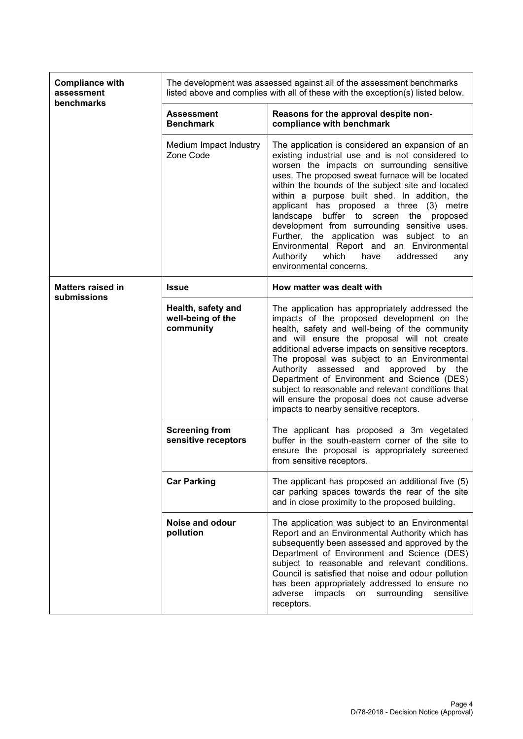| <b>Compliance with</b><br>assessment<br>benchmarks | The development was assessed against all of the assessment benchmarks<br>listed above and complies with all of these with the exception(s) listed below. |                                                                                                                                                                                                                                                                                                                                                                                                                                                                                                                                                                                                                              |  |
|----------------------------------------------------|----------------------------------------------------------------------------------------------------------------------------------------------------------|------------------------------------------------------------------------------------------------------------------------------------------------------------------------------------------------------------------------------------------------------------------------------------------------------------------------------------------------------------------------------------------------------------------------------------------------------------------------------------------------------------------------------------------------------------------------------------------------------------------------------|--|
|                                                    | <b>Assessment</b><br><b>Benchmark</b>                                                                                                                    | Reasons for the approval despite non-<br>compliance with benchmark                                                                                                                                                                                                                                                                                                                                                                                                                                                                                                                                                           |  |
|                                                    | Medium Impact Industry<br>Zone Code                                                                                                                      | The application is considered an expansion of an<br>existing industrial use and is not considered to<br>worsen the impacts on surrounding sensitive<br>uses. The proposed sweat furnace will be located<br>within the bounds of the subject site and located<br>within a purpose built shed. In addition, the<br>applicant has proposed a three (3) metre<br>landscape buffer to screen the proposed<br>development from surrounding sensitive uses.<br>Further, the application was subject to an<br>Environmental Report and an Environmental<br>Authority<br>which<br>have<br>addressed<br>any<br>environmental concerns. |  |
| <b>Matters raised in</b>                           | <b>Issue</b>                                                                                                                                             | How matter was dealt with                                                                                                                                                                                                                                                                                                                                                                                                                                                                                                                                                                                                    |  |
| submissions                                        | Health, safety and<br>well-being of the<br>community                                                                                                     | The application has appropriately addressed the<br>impacts of the proposed development on the<br>health, safety and well-being of the community<br>and will ensure the proposal will not create<br>additional adverse impacts on sensitive receptors.<br>The proposal was subject to an Environmental<br>Authority assessed and approved<br>by the<br>Department of Environment and Science (DES)<br>subject to reasonable and relevant conditions that<br>will ensure the proposal does not cause adverse<br>impacts to nearby sensitive receptors.                                                                         |  |
|                                                    | <b>Screening from</b><br>sensitive receptors                                                                                                             | The applicant has proposed a 3m vegetated<br>buffer in the south-eastern corner of the site to<br>ensure the proposal is appropriately screened<br>from sensitive receptors.                                                                                                                                                                                                                                                                                                                                                                                                                                                 |  |
|                                                    | <b>Car Parking</b>                                                                                                                                       | The applicant has proposed an additional five (5)<br>car parking spaces towards the rear of the site<br>and in close proximity to the proposed building.                                                                                                                                                                                                                                                                                                                                                                                                                                                                     |  |
|                                                    | Noise and odour<br>pollution                                                                                                                             | The application was subject to an Environmental<br>Report and an Environmental Authority which has<br>subsequently been assessed and approved by the<br>Department of Environment and Science (DES)<br>subject to reasonable and relevant conditions.<br>Council is satisfied that noise and odour pollution<br>has been appropriately addressed to ensure no<br>impacts<br>adverse<br>on<br>surrounding<br>sensitive<br>receptors.                                                                                                                                                                                          |  |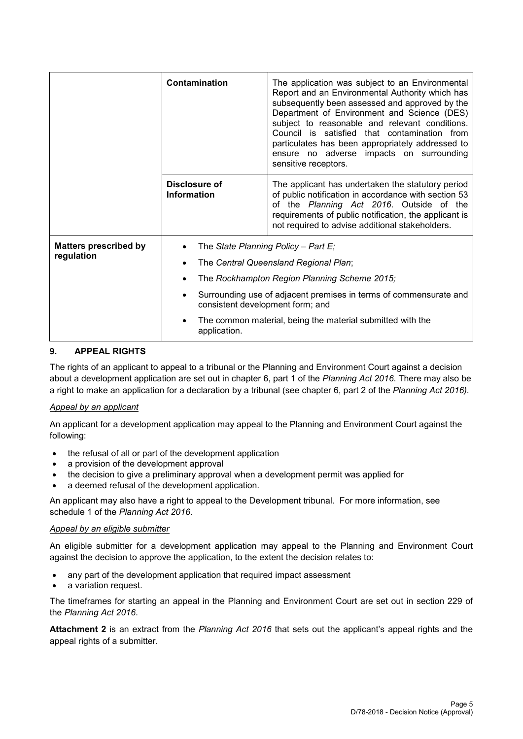|                                            | Contamination                       | The application was subject to an Environmental<br>Report and an Environmental Authority which has<br>subsequently been assessed and approved by the<br>Department of Environment and Science (DES)<br>subject to reasonable and relevant conditions.<br>Council is satisfied that contamination from<br>particulates has been appropriately addressed to<br>ensure no adverse impacts on surrounding<br>sensitive receptors. |  |
|--------------------------------------------|-------------------------------------|-------------------------------------------------------------------------------------------------------------------------------------------------------------------------------------------------------------------------------------------------------------------------------------------------------------------------------------------------------------------------------------------------------------------------------|--|
|                                            | Disclosure of<br><b>Information</b> | The applicant has undertaken the statutory period<br>of public notification in accordance with section 53<br>of the Planning Act 2016. Outside of the<br>requirements of public notification, the applicant is<br>not required to advise additional stakeholders.                                                                                                                                                             |  |
| <b>Matters prescribed by</b><br>regulation | application.                        | The State Planning Policy - Part E;<br>The Central Queensland Regional Plan;<br>The Rockhampton Region Planning Scheme 2015;<br>Surrounding use of adjacent premises in terms of commensurate and<br>consistent development form; and<br>The common material, being the material submitted with the                                                                                                                           |  |

#### **9. APPEAL RIGHTS**

The rights of an applicant to appeal to a tribunal or the Planning and Environment Court against a decision about a development application are set out in chapter 6, part 1 of the *Planning Act 2016*. There may also be a right to make an application for a declaration by a tribunal (see chapter 6, part 2 of the *Planning Act 2016).*

#### *Appeal by an applicant*

An applicant for a development application may appeal to the Planning and Environment Court against the following:

- the refusal of all or part of the development application
- a provision of the development approval
- the decision to give a preliminary approval when a development permit was applied for
- a deemed refusal of the development application.

An applicant may also have a right to appeal to the Development tribunal. For more information, see schedule 1 of the *Planning Act 2016*.

#### *Appeal by an eligible submitter*

An eligible submitter for a development application may appeal to the Planning and Environment Court against the decision to approve the application, to the extent the decision relates to:

- any part of the development application that required impact assessment
- a variation request.

The timeframes for starting an appeal in the Planning and Environment Court are set out in section 229 of the *Planning Act 2016*.

**Attachment 2** is an extract from the *Planning Act 2016* that sets out the applicant's appeal rights and the appeal rights of a submitter.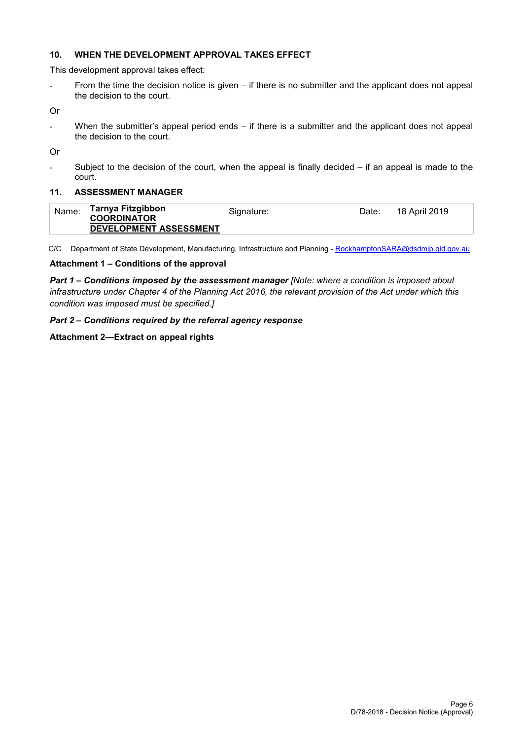#### **10. WHEN THE DEVELOPMENT APPROVAL TAKES EFFECT**

This development approval takes effect:

- From the time the decision notice is given – if there is no submitter and the applicant does not appeal the decision to the court.

Or

- When the submitter's appeal period ends – if there is a submitter and the applicant does not appeal the decision to the court.

Or

Subject to the decision of the court, when the appeal is finally decided  $-$  if an appeal is made to the court.

#### **11. ASSESSMENT MANAGER**

| Name: | Tarnya Fitzgibbon<br><b>COORDINATOR</b> | Signature: | Date: | 18 April 2019 |
|-------|-----------------------------------------|------------|-------|---------------|
|       | DEVELOPMENT ASSESSMENT                  |            |       |               |

C/C Department of State Development, Manufacturing, Infrastructure and Planning - [RockhamptonSARA@dsdmip.qld.gov.au](mailto:RockhamptonSARA@dsdmip.qld.gov.au)

#### **Attachment 1 – Conditions of the approval**

*Part 1* **–** *Conditions imposed by the assessment manager [Note: where a condition is imposed about infrastructure under Chapter 4 of the Planning Act 2016, the relevant provision of the Act under which this condition was imposed must be specified.]*

#### *Part 2 – Conditions required by the referral agency response*

#### **Attachment 2—Extract on appeal rights**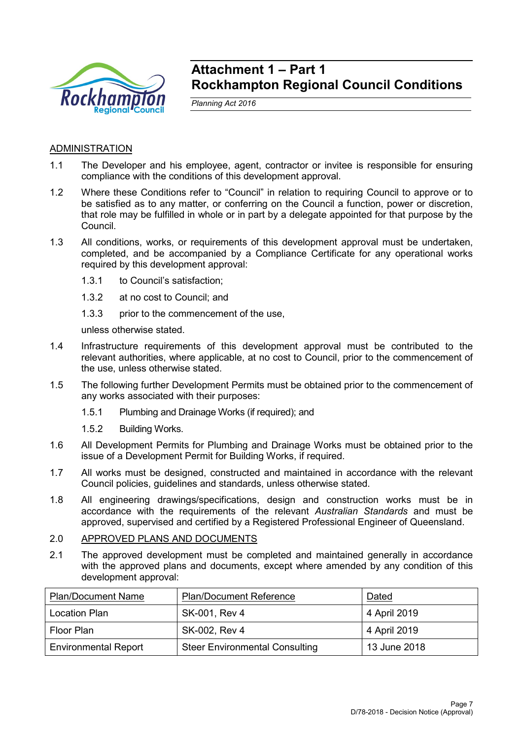

## **Attachment 1 – Part 1 Rockhampton Regional Council Conditions**

*Planning Act 2016*

## **ADMINISTRATION**

- 1.1 The Developer and his employee, agent, contractor or invitee is responsible for ensuring compliance with the conditions of this development approval.
- 1.2 Where these Conditions refer to "Council" in relation to requiring Council to approve or to be satisfied as to any matter, or conferring on the Council a function, power or discretion, that role may be fulfilled in whole or in part by a delegate appointed for that purpose by the Council.
- 1.3 All conditions, works, or requirements of this development approval must be undertaken, completed, and be accompanied by a Compliance Certificate for any operational works required by this development approval:
	- 1.3.1 to Council's satisfaction;
	- 1.3.2 at no cost to Council; and
	- 1.3.3 prior to the commencement of the use,

unless otherwise stated.

- 1.4 Infrastructure requirements of this development approval must be contributed to the relevant authorities, where applicable, at no cost to Council, prior to the commencement of the use, unless otherwise stated.
- 1.5 The following further Development Permits must be obtained prior to the commencement of any works associated with their purposes:
	- 1.5.1 Plumbing and Drainage Works (if required); and
	- 1.5.2 Building Works.
- 1.6 All Development Permits for Plumbing and Drainage Works must be obtained prior to the issue of a Development Permit for Building Works, if required.
- 1.7 All works must be designed, constructed and maintained in accordance with the relevant Council policies, guidelines and standards, unless otherwise stated.
- 1.8 All engineering drawings/specifications, design and construction works must be in accordance with the requirements of the relevant *Australian Standards* and must be approved, supervised and certified by a Registered Professional Engineer of Queensland.
- 2.0 APPROVED PLANS AND DOCUMENTS
- 2.1 The approved development must be completed and maintained generally in accordance with the approved plans and documents, except where amended by any condition of this development approval:

| <b>Plan/Document Name</b>   | <b>Plan/Document Reference</b>        | Dated        |
|-----------------------------|---------------------------------------|--------------|
| <b>Location Plan</b>        | SK-001, Rev 4                         | 4 April 2019 |
| Floor Plan                  | SK-002, Rev 4                         | 4 April 2019 |
| <b>Environmental Report</b> | <b>Steer Environmental Consulting</b> | 13 June 2018 |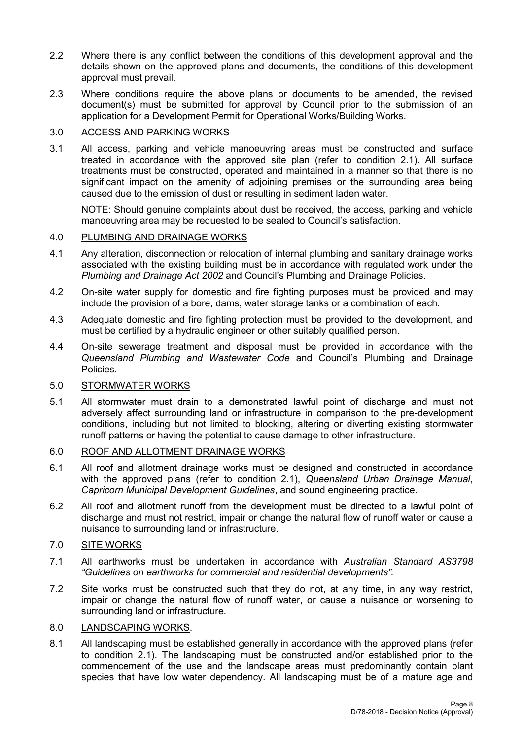- 2.2 Where there is any conflict between the conditions of this development approval and the details shown on the approved plans and documents, the conditions of this development approval must prevail.
- 2.3 Where conditions require the above plans or documents to be amended, the revised document(s) must be submitted for approval by Council prior to the submission of an application for a Development Permit for Operational Works/Building Works.

#### 3.0 ACCESS AND PARKING WORKS

3.1 All access, parking and vehicle manoeuvring areas must be constructed and surface treated in accordance with the approved site plan (refer to condition 2.1). All surface treatments must be constructed, operated and maintained in a manner so that there is no significant impact on the amenity of adjoining premises or the surrounding area being caused due to the emission of dust or resulting in sediment laden water.

NOTE: Should genuine complaints about dust be received, the access, parking and vehicle manoeuvring area may be requested to be sealed to Council's satisfaction.

#### 4.0 PLUMBING AND DRAINAGE WORKS

- 4.1 Any alteration, disconnection or relocation of internal plumbing and sanitary drainage works associated with the existing building must be in accordance with regulated work under the *Plumbing and Drainage Act 2002* and Council's Plumbing and Drainage Policies.
- 4.2 On-site water supply for domestic and fire fighting purposes must be provided and may include the provision of a bore, dams, water storage tanks or a combination of each.
- 4.3 Adequate domestic and fire fighting protection must be provided to the development, and must be certified by a hydraulic engineer or other suitably qualified person.
- 4.4 On-site sewerage treatment and disposal must be provided in accordance with the *Queensland Plumbing and Wastewater Code* and Council's Plumbing and Drainage Policies.

#### 5.0 STORMWATER WORKS

5.1 All stormwater must drain to a demonstrated lawful point of discharge and must not adversely affect surrounding land or infrastructure in comparison to the pre-development conditions, including but not limited to blocking, altering or diverting existing stormwater runoff patterns or having the potential to cause damage to other infrastructure.

#### 6.0 ROOF AND ALLOTMENT DRAINAGE WORKS

- 6.1 All roof and allotment drainage works must be designed and constructed in accordance with the approved plans (refer to condition 2.1), *Queensland Urban Drainage Manual*, *Capricorn Municipal Development Guidelines*, and sound engineering practice.
- 6.2 All roof and allotment runoff from the development must be directed to a lawful point of discharge and must not restrict, impair or change the natural flow of runoff water or cause a nuisance to surrounding land or infrastructure.

#### 7.0 SITE WORKS

- 7.1 All earthworks must be undertaken in accordance with *Australian Standard AS3798 "Guidelines on earthworks for commercial and residential developments".*
- 7.2 Site works must be constructed such that they do not, at any time, in any way restrict, impair or change the natural flow of runoff water, or cause a nuisance or worsening to surrounding land or infrastructure.

#### 8.0 LANDSCAPING WORKS.

8.1 All landscaping must be established generally in accordance with the approved plans (refer to condition 2.1). The landscaping must be constructed and/or established prior to the commencement of the use and the landscape areas must predominantly contain plant species that have low water dependency. All landscaping must be of a mature age and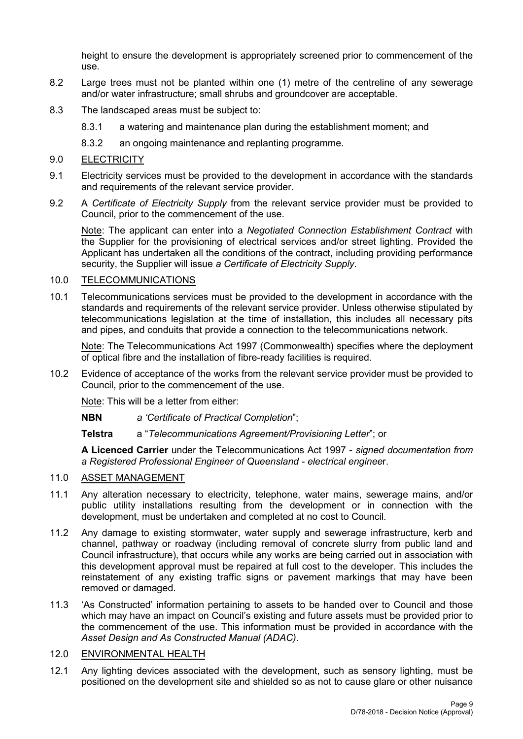height to ensure the development is appropriately screened prior to commencement of the use.

- 8.2 Large trees must not be planted within one (1) metre of the centreline of any sewerage and/or water infrastructure; small shrubs and groundcover are acceptable.
- 8.3 The landscaped areas must be subject to:
	- 8.3.1 a watering and maintenance plan during the establishment moment; and
	- 8.3.2 an ongoing maintenance and replanting programme.

### 9.0 ELECTRICITY

- 9.1 Electricity services must be provided to the development in accordance with the standards and requirements of the relevant service provider.
- 9.2 A *Certificate of Electricity Supply* from the relevant service provider must be provided to Council, prior to the commencement of the use.

Note: The applicant can enter into a *Negotiated Connection Establishment Contract* with the Supplier for the provisioning of electrical services and/or street lighting. Provided the Applicant has undertaken all the conditions of the contract, including providing performance security, the Supplier will issue *a Certificate of Electricity Supply*.

#### 10.0 TELECOMMUNICATIONS

10.1 Telecommunications services must be provided to the development in accordance with the standards and requirements of the relevant service provider. Unless otherwise stipulated by telecommunications legislation at the time of installation, this includes all necessary pits and pipes, and conduits that provide a connection to the telecommunications network.

Note: The Telecommunications Act 1997 (Commonwealth) specifies where the deployment of optical fibre and the installation of fibre-ready facilities is required.

10.2 Evidence of acceptance of the works from the relevant service provider must be provided to Council, prior to the commencement of the use.

Note: This will be a letter from either:

**NBN** *a 'Certificate of Practical Completion*";

**Telstra** a "*Telecommunications Agreement/Provisioning Letter*"; or

**A Licenced Carrier** under the Telecommunications Act 1997 - *signed documentation from a Registered Professional Engineer of Queensland - electrical enginee*r.

## 11.0 ASSET MANAGEMENT

- 11.1 Any alteration necessary to electricity, telephone, water mains, sewerage mains, and/or public utility installations resulting from the development or in connection with the development, must be undertaken and completed at no cost to Council.
- 11.2 Any damage to existing stormwater, water supply and sewerage infrastructure, kerb and channel, pathway or roadway (including removal of concrete slurry from public land and Council infrastructure), that occurs while any works are being carried out in association with this development approval must be repaired at full cost to the developer. This includes the reinstatement of any existing traffic signs or pavement markings that may have been removed or damaged.
- 11.3 'As Constructed' information pertaining to assets to be handed over to Council and those which may have an impact on Council's existing and future assets must be provided prior to the commencement of the use. This information must be provided in accordance with the *Asset Design and As Constructed Manual (ADAC).*

## 12.0 ENVIRONMENTAL HEALTH

12.1 Any lighting devices associated with the development, such as sensory lighting, must be positioned on the development site and shielded so as not to cause glare or other nuisance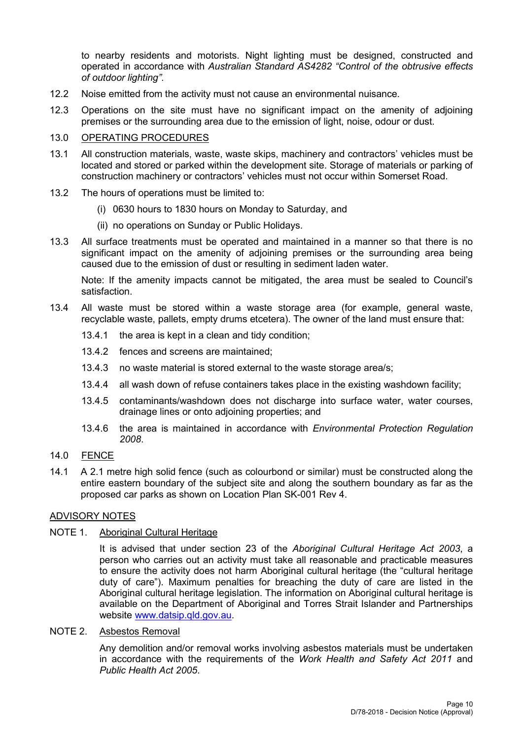to nearby residents and motorists. Night lighting must be designed, constructed and operated in accordance with *Australian Standard AS4282 "Control of the obtrusive effects of outdoor lighting"*.

- 12.2 Noise emitted from the activity must not cause an environmental nuisance.
- 12.3 Operations on the site must have no significant impact on the amenity of adjoining premises or the surrounding area due to the emission of light, noise, odour or dust.

#### 13.0 OPERATING PROCEDURES

- 13.1 All construction materials, waste, waste skips, machinery and contractors' vehicles must be located and stored or parked within the development site. Storage of materials or parking of construction machinery or contractors' vehicles must not occur within Somerset Road.
- 13.2 The hours of operations must be limited to:
	- (i) 0630 hours to 1830 hours on Monday to Saturday, and
	- (ii) no operations on Sunday or Public Holidays.
- 13.3 All surface treatments must be operated and maintained in a manner so that there is no significant impact on the amenity of adjoining premises or the surrounding area being caused due to the emission of dust or resulting in sediment laden water.

Note: If the amenity impacts cannot be mitigated, the area must be sealed to Council's satisfaction.

- 13.4 All waste must be stored within a waste storage area (for example, general waste, recyclable waste, pallets, empty drums etcetera). The owner of the land must ensure that:
	- 13.4.1 the area is kept in a clean and tidy condition;
	- 13.4.2 fences and screens are maintained;
	- 13.4.3 no waste material is stored external to the waste storage area/s;
	- 13.4.4 all wash down of refuse containers takes place in the existing washdown facility;
	- 13.4.5 contaminants/washdown does not discharge into surface water, water courses, drainage lines or onto adjoining properties; and
	- 13.4.6 the area is maintained in accordance with *Environmental Protection Regulation 2008*.

#### 14.0 FENCE

14.1 A 2.1 metre high solid fence (such as colourbond or similar) must be constructed along the entire eastern boundary of the subject site and along the southern boundary as far as the proposed car parks as shown on Location Plan SK-001 Rev 4.

#### ADVISORY NOTES

#### NOTE 1. Aboriginal Cultural Heritage

It is advised that under section 23 of the *Aboriginal Cultural Heritage Act 2003*, a person who carries out an activity must take all reasonable and practicable measures to ensure the activity does not harm Aboriginal cultural heritage (the "cultural heritage duty of care"). Maximum penalties for breaching the duty of care are listed in the Aboriginal cultural heritage legislation. The information on Aboriginal cultural heritage is available on the Department of Aboriginal and Torres Strait Islander and Partnerships website [www.datsip.qld.gov.au.](http://www.datsip.qld.gov.au/)

### NOTE 2. Asbestos Removal

Any demolition and/or removal works involving asbestos materials must be undertaken in accordance with the requirements of the *Work Health and Safety Act 2011* and *Public Health Act 2005*.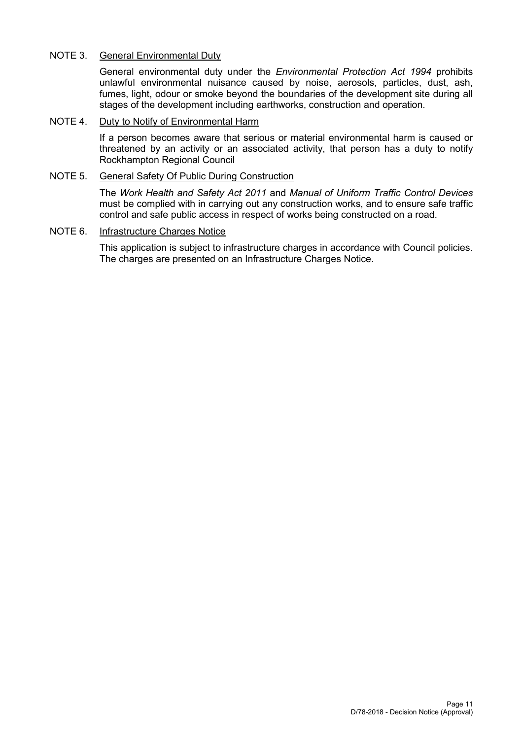### NOTE 3. General Environmental Duty

General environmental duty under the *Environmental Protection Act 1994* prohibits unlawful environmental nuisance caused by noise, aerosols, particles, dust, ash, fumes, light, odour or smoke beyond the boundaries of the development site during all stages of the development including earthworks, construction and operation.

#### NOTE 4. Duty to Notify of Environmental Harm

If a person becomes aware that serious or material environmental harm is caused or threatened by an activity or an associated activity, that person has a duty to notify Rockhampton Regional Council

#### NOTE 5. General Safety Of Public During Construction

The *Work Health and Safety Act 2011* and *Manual of Uniform Traffic Control Devices* must be complied with in carrying out any construction works, and to ensure safe traffic control and safe public access in respect of works being constructed on a road.

#### NOTE 6. Infrastructure Charges Notice

This application is subject to infrastructure charges in accordance with Council policies. The charges are presented on an Infrastructure Charges Notice.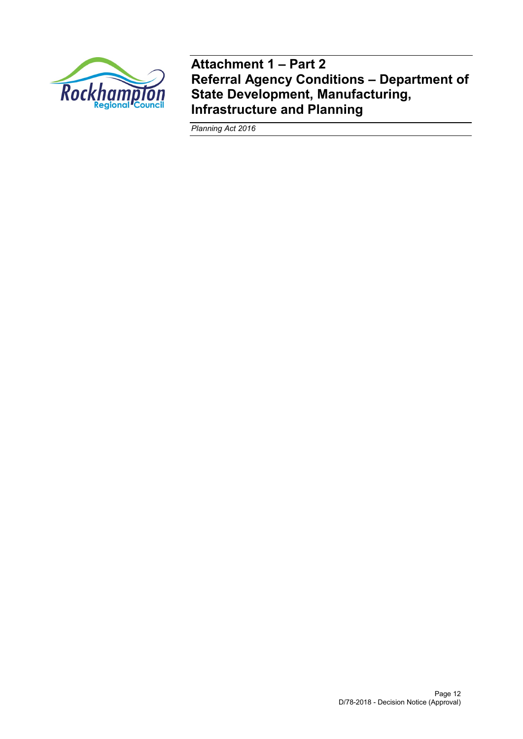

**Attachment 1 – Part 2 Referral Agency Conditions – Department of State Development, Manufacturing, Infrastructure and Planning**

*Planning Act 2016*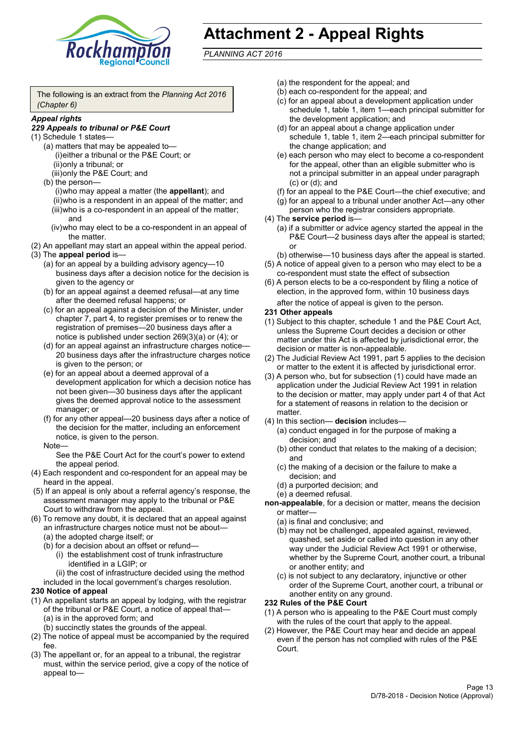

# **Attachment 2 - Appeal Rights**

*PLANNING ACT 2016*

The following is an extract from the *Planning Act 2016 (Chapter 6)*

#### *Appeal rights*

#### *229 Appeals to tribunal or P&E Court*

- (1) Schedule 1 states—
	- (a) matters that may be appealed to— (i)either a tribunal or the P&E Court; or (ii)only a tribunal; or (iii)only the P&E Court; and
	- (b) the person—

(i)who may appeal a matter (the **appellant**); and (ii)who is a respondent in an appeal of the matter; and (iii)who is a co-respondent in an appeal of the matter; and

- (iv)who may elect to be a co-respondent in an appeal of the matter.
- (2) An appellant may start an appeal within the appeal period.
- (3) The **appeal period** is—
	- (a) for an appeal by a building advisory agency—10 business days after a decision notice for the decision is given to the agency or
	- (b) for an appeal against a deemed refusal—at any time after the deemed refusal happens; or
	- (c) for an appeal against a decision of the Minister, under chapter 7, part 4, to register premises or to renew the registration of premises—20 business days after a notice is published under section 269(3)(a) or (4); or
	- (d) for an appeal against an infrastructure charges notice— 20 business days after the infrastructure charges notice is given to the person; or
	- (e) for an appeal about a deemed approval of a development application for which a decision notice has not been given—30 business days after the applicant gives the deemed approval notice to the assessment manager; or
	- (f) for any other appeal—20 business days after a notice of the decision for the matter, including an enforcement notice, is given to the person.

#### Note—

See the P&E Court Act for the court's power to extend the appeal period.

- (4) Each respondent and co-respondent for an appeal may be heard in the appeal.
- (5) If an appeal is only about a referral agency's response, the assessment manager may apply to the tribunal or P&E Court to withdraw from the appeal.
- (6) To remove any doubt, it is declared that an appeal against an infrastructure charges notice must not be about—
	- (a) the adopted charge itself; or
	- (b) for a decision about an offset or refund—
		- (i) the establishment cost of trunk infrastructure identified in a LGIP; or
		- (ii) the cost of infrastructure decided using the method

included in the local government's charges resolution.

- **230 Notice of appeal**
- (1) An appellant starts an appeal by lodging, with the registrar of the tribunal or P&E Court, a notice of appeal that—
	- (a) is in the approved form; and
	- (b) succinctly states the grounds of the appeal.
- (2) The notice of appeal must be accompanied by the required fee.
- (3) The appellant or, for an appeal to a tribunal, the registrar must, within the service period, give a copy of the notice of appeal to—
- (a) the respondent for the appeal; and
- (b) each co-respondent for the appeal; and
- (c) for an appeal about a development application under schedule 1, table 1, item 1—each principal submitter for the development application; and
- (d) for an appeal about a change application under schedule 1, table 1, item 2—each principal submitter for the change application; and
- (e) each person who may elect to become a co-respondent for the appeal, other than an eligible submitter who is not a principal submitter in an appeal under paragraph (c) or (d); and
- (f) for an appeal to the P&E Court—the chief executive; and
- (g) for an appeal to a tribunal under another Act—any other person who the registrar considers appropriate.
- (4) The **service period** is—
	- (a) if a submitter or advice agency started the appeal in the P&E Court—2 business days after the appeal is started; or
	- (b) otherwise—10 business days after the appeal is started.
- (5) A notice of appeal given to a person who may elect to be a co-respondent must state the effect of subsection
- (6) A person elects to be a co-respondent by filing a notice of election, in the approved form, within 10 business days after the notice of appeal is given to the person*.*
- **231 Other appeals**
- (1) Subject to this chapter, schedule 1 and the P&E Court Act, unless the Supreme Court decides a decision or other matter under this Act is affected by jurisdictional error, the decision or matter is non-appealable.
- (2) The Judicial Review Act 1991, part 5 applies to the decision or matter to the extent it is affected by jurisdictional error.
- (3) A person who, but for subsection (1) could have made an application under the Judicial Review Act 1991 in relation to the decision or matter, may apply under part 4 of that Act for a statement of reasons in relation to the decision or matter.
- (4) In this section— **decision** includes—
	- (a) conduct engaged in for the purpose of making a decision; and
	- (b) other conduct that relates to the making of a decision; and
	- (c) the making of a decision or the failure to make a decision; and
	- (d) a purported decision; and
	- (e) a deemed refusal.
- **non-appealable**, for a decision or matter, means the decision or matter—
	- (a) is final and conclusive; and
	- (b) may not be challenged, appealed against, reviewed, quashed, set aside or called into question in any other way under the Judicial Review Act 1991 or otherwise, whether by the Supreme Court, another court, a tribunal or another entity; and
	- (c) is not subject to any declaratory, injunctive or other order of the Supreme Court, another court, a tribunal or another entity on any ground.

#### **232 Rules of the P&E Court**

- (1) A person who is appealing to the P&E Court must comply with the rules of the court that apply to the appeal.
- (2) However, the P&E Court may hear and decide an appeal even if the person has not complied with rules of the P&E Court.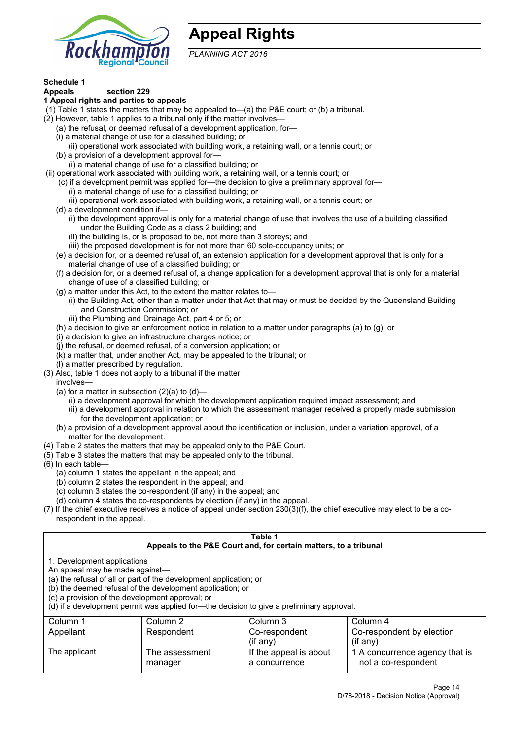

## **Appeal Rights**

*PLANNING ACT 2016*

## **Schedule 1**

#### **Appeals section 229 1 Appeal rights and parties to appeals**

- (1) Table 1 states the matters that may be appealed to—(a) the P&E court; or (b) a tribunal.
- (2) However, table 1 applies to a tribunal only if the matter involves—
	- (a) the refusal, or deemed refusal of a development application, for—
	- (i) a material change of use for a classified building; or
	- (ii) operational work associated with building work, a retaining wall, or a tennis court; or
	- (b) a provision of a development approval for—
	- (i) a material change of use for a classified building; or
- (ii) operational work associated with building work, a retaining wall, or a tennis court; or
	- (c) if a development permit was applied for—the decision to give a preliminary approval for—
		- (i) a material change of use for a classified building; or
		- (ii) operational work associated with building work, a retaining wall, or a tennis court; or
	- (d) a development condition if—
		- (i) the development approval is only for a material change of use that involves the use of a building classified under the Building Code as a class 2 building; and
		- (ii) the building is, or is proposed to be, not more than 3 storeys; and
		- (iii) the proposed development is for not more than 60 sole-occupancy units; or
	- (e) a decision for, or a deemed refusal of, an extension application for a development approval that is only for a material change of use of a classified building; or
	- (f) a decision for, or a deemed refusal of, a change application for a development approval that is only for a material change of use of a classified building; or
	- (g) a matter under this Act, to the extent the matter relates to—
		- (i) the Building Act, other than a matter under that Act that may or must be decided by the Queensland Building and Construction Commission; or
		- (ii) the Plumbing and Drainage Act, part 4 or 5; or
	- (h) a decision to give an enforcement notice in relation to a matter under paragraphs (a) to (g); or
	- (i) a decision to give an infrastructure charges notice; or
	- (j) the refusal, or deemed refusal, of a conversion application; or
	- (k) a matter that, under another Act, may be appealed to the tribunal; or
	- (l) a matter prescribed by regulation.
- (3) Also, table 1 does not apply to a tribunal if the matter
	- involves—
	- (a) for a matter in subsection  $(2)(a)$  to  $(d)$ 
		- (i) a development approval for which the development application required impact assessment; and
		- (ii) a development approval in relation to which the assessment manager received a properly made submission for the development application; or
	- (b) a provision of a development approval about the identification or inclusion, under a variation approval, of a matter for the development.
- (4) Table 2 states the matters that may be appealed only to the P&E Court.
- (5) Table 3 states the matters that may be appealed only to the tribunal.
- (6) In each table—
	- (a) column 1 states the appellant in the appeal; and
	- (b) column 2 states the respondent in the appeal; and
	- (c) column 3 states the co-respondent (if any) in the appeal; and
	- (d) column 4 states the co-respondents by election (if any) in the appeal.
- (7) If the chief executive receives a notice of appeal under section 230(3)(f), the chief executive may elect to be a corespondent in the appeal.

| Table 1                                                                                                                                                                                                                                                                                                                                        |                           |                                                                  |                                                       |  |  |
|------------------------------------------------------------------------------------------------------------------------------------------------------------------------------------------------------------------------------------------------------------------------------------------------------------------------------------------------|---------------------------|------------------------------------------------------------------|-------------------------------------------------------|--|--|
|                                                                                                                                                                                                                                                                                                                                                |                           | Appeals to the P&E Court and, for certain matters, to a tribunal |                                                       |  |  |
| 1. Development applications<br>An appeal may be made against-<br>(a) the refusal of all or part of the development application; or<br>(b) the deemed refusal of the development application; or<br>(c) a provision of the development approval; or<br>(d) if a development permit was applied for—the decision to give a preliminary approval. |                           |                                                                  |                                                       |  |  |
| Column 1                                                                                                                                                                                                                                                                                                                                       | Column 2                  | Column 3                                                         | Column 4                                              |  |  |
| Appellant                                                                                                                                                                                                                                                                                                                                      | Respondent                | Co-respondent                                                    | Co-respondent by election                             |  |  |
| $($ if any $)$<br>$($ if any $)$                                                                                                                                                                                                                                                                                                               |                           |                                                                  |                                                       |  |  |
| The applicant                                                                                                                                                                                                                                                                                                                                  | The assessment<br>manager | If the appeal is about<br>a concurrence                          | 1 A concurrence agency that is<br>not a co-respondent |  |  |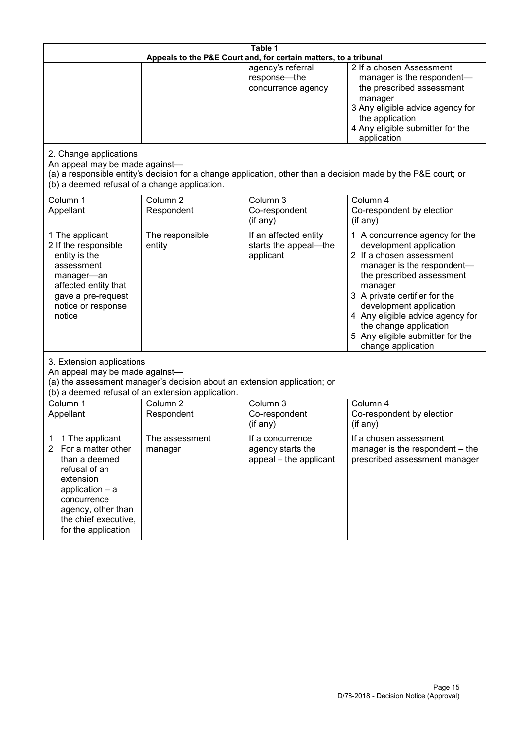| Table 1<br>Appeals to the P&E Court and, for certain matters, to a tribunal                                                                                                                                      |                                                                                                                               |                                                                 |                                                                                                                                                                                                                                                                                                                                                 |
|------------------------------------------------------------------------------------------------------------------------------------------------------------------------------------------------------------------|-------------------------------------------------------------------------------------------------------------------------------|-----------------------------------------------------------------|-------------------------------------------------------------------------------------------------------------------------------------------------------------------------------------------------------------------------------------------------------------------------------------------------------------------------------------------------|
|                                                                                                                                                                                                                  |                                                                                                                               | agency's referral<br>response-the<br>concurrence agency         | 2 If a chosen Assessment<br>manager is the respondent-<br>the prescribed assessment<br>manager<br>3 Any eligible advice agency for<br>the application<br>4 Any eligible submitter for the<br>application                                                                                                                                        |
| 2. Change applications<br>An appeal may be made against-<br>(b) a deemed refusal of a change application.                                                                                                        |                                                                                                                               |                                                                 | (a) a responsible entity's decision for a change application, other than a decision made by the P&E court; or                                                                                                                                                                                                                                   |
| Column 1<br>Appellant                                                                                                                                                                                            | Column <sub>2</sub><br>Respondent                                                                                             | Column 3<br>Co-respondent<br>(if any)                           | Column 4<br>Co-respondent by election<br>(if any)                                                                                                                                                                                                                                                                                               |
| 1 The applicant<br>2 If the responsible<br>entity is the<br>assessment<br>manager-an<br>affected entity that<br>gave a pre-request<br>notice or response<br>notice                                               | The responsible<br>entity                                                                                                     | If an affected entity<br>starts the appeal-the<br>applicant     | 1 A concurrence agency for the<br>development application<br>2 If a chosen assessment<br>manager is the respondent-<br>the prescribed assessment<br>manager<br>3 A private certifier for the<br>development application<br>4 Any eligible advice agency for<br>the change application<br>5 Any eligible submitter for the<br>change application |
| 3. Extension applications<br>An appeal may be made against-                                                                                                                                                      | (a) the assessment manager's decision about an extension application; or<br>(b) a deemed refusal of an extension application. |                                                                 |                                                                                                                                                                                                                                                                                                                                                 |
| Column 1<br>Appellant                                                                                                                                                                                            | Column <sub>2</sub><br>Respondent                                                                                             | Column 3<br>Co-respondent<br>(if any)                           | Column 4<br>Co-respondent by election<br>(if any)                                                                                                                                                                                                                                                                                               |
| 1 The applicant<br>1<br>For a matter other<br>$\mathbf{2}$<br>than a deemed<br>refusal of an<br>extension<br>application - a<br>concurrence<br>agency, other than<br>the chief executive,<br>for the application | The assessment<br>manager                                                                                                     | If a concurrence<br>agency starts the<br>appeal - the applicant | If a chosen assessment<br>manager is the respondent – the<br>prescribed assessment manager                                                                                                                                                                                                                                                      |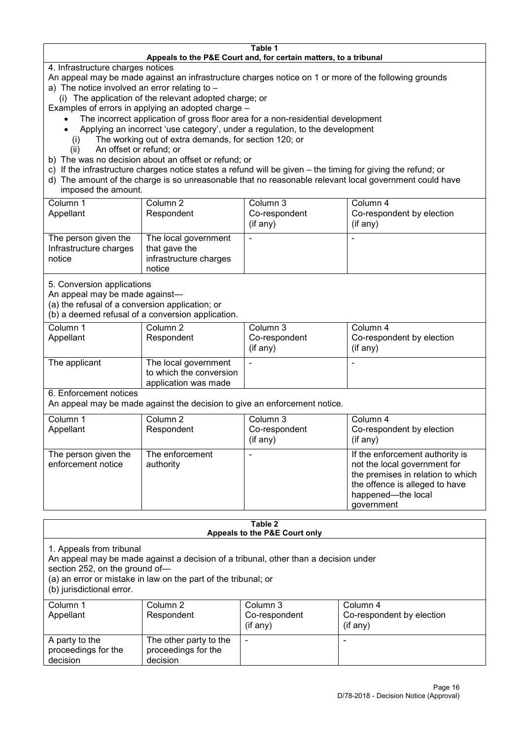#### **Table 1 Appeals to the P&E Court and, for certain matters, to a tribunal**

4. Infrastructure charges notices

- An appeal may be made against an infrastructure charges notice on 1 or more of the following grounds
- a) The notice involved an error relating to
	- (i) The application of the relevant adopted charge; or
- Examples of errors in applying an adopted charge
	- The incorrect application of gross floor area for a non-residential development
	- Applying an incorrect 'use category', under a regulation, to the development
	- (i) The working out of extra demands, for section 120; or
	- (ii) An offset or refund; or
- b) The was no decision about an offset or refund; or
- c) If the infrastructure charges notice states a refund will be given the timing for giving the refund; or
- d) The amount of the charge is so unreasonable that no reasonable relevant local government could have
- imposed the amount.

| Column 1                                                 | Column 2                                                                  | Column 3      | Column 4                  |
|----------------------------------------------------------|---------------------------------------------------------------------------|---------------|---------------------------|
| Appellant                                                | Respondent                                                                | Co-respondent | Co-respondent by election |
|                                                          |                                                                           | (if any)      | (if any)                  |
| The person given the<br>Infrastructure charges<br>notice | The local government<br>that gave the<br>infrastructure charges<br>notice |               | -                         |

5. Conversion applications

An appeal may be made against—

(a) the refusal of a conversion application; or

(b) a deemed refusal of a conversion application.

| Column 1<br>Appellant | Column 2<br>Respondent                                                  | Column 3<br>Co-respondent | Column 4<br>Co-respondent by election |
|-----------------------|-------------------------------------------------------------------------|---------------------------|---------------------------------------|
|                       |                                                                         | $($ if any $)$            | $(if$ any)                            |
| The applicant         | The local government<br>to which the conversion<br>application was made |                           |                                       |

6. Enforcement notices

An appeal may be made against the decision to give an enforcement notice.

| Column 1                                   | Column 2                     | Column 3      | Column 4                                                                                                                                                                   |
|--------------------------------------------|------------------------------|---------------|----------------------------------------------------------------------------------------------------------------------------------------------------------------------------|
| Appellant                                  | Respondent                   | Co-respondent | Co-respondent by election                                                                                                                                                  |
|                                            |                              | (if any)      | (if any)                                                                                                                                                                   |
| The person given the<br>enforcement notice | The enforcement<br>authority |               | If the enforcement authority is<br>not the local government for<br>the premises in relation to which<br>the offence is alleged to have<br>happened-the local<br>government |

#### **Table 2 Appeals to the P&E Court only**

1. Appeals from tribunal

An appeal may be made against a decision of a tribunal, other than a decision under

section 252, on the ground of—

(a) an error or mistake in law on the part of the tribunal; or

(b) jurisdictional error.

| Column 1<br>Appellant                             | Column 2<br>Respondent                                    | Column 3<br>Co-respondent<br>$($ if any $)$ | Column 4<br>Co-respondent by election<br>$($ if any $)$ |
|---------------------------------------------------|-----------------------------------------------------------|---------------------------------------------|---------------------------------------------------------|
| A party to the<br>proceedings for the<br>decision | The other party to the<br>proceedings for the<br>decision | $\overline{\phantom{a}}$                    |                                                         |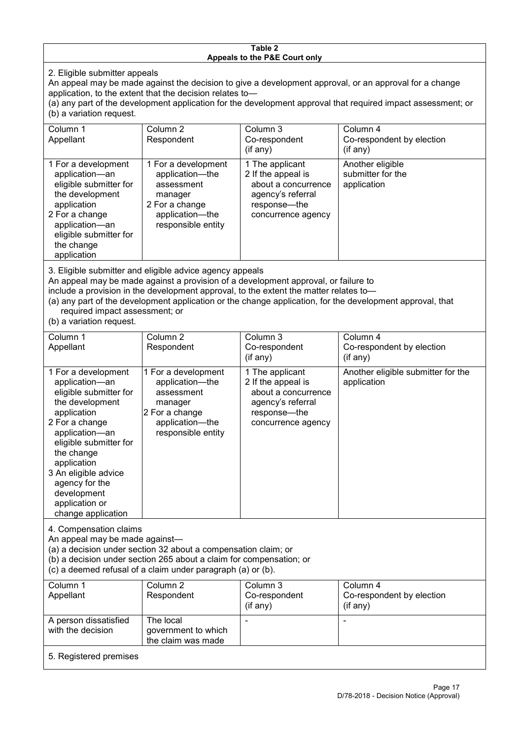#### **Table 2 Appeals to the P&E Court only**

2. Eligible submitter appeals

An appeal may be made against the decision to give a development approval, or an approval for a change application, to the extent that the decision relates to—

(a) any part of the development application for the development approval that required impact assessment; or (b) a variation request.

| Column 1<br>Appellant                                                                                                                                                                                                                                                                                                                                                                  | Column 2<br>Respondent                                                                                                     | Column 3<br>Co-respondent<br>$($ if any $)$                                                                             | Column 4<br>Co-respondent by election<br>$(if$ any)  |  |  |
|----------------------------------------------------------------------------------------------------------------------------------------------------------------------------------------------------------------------------------------------------------------------------------------------------------------------------------------------------------------------------------------|----------------------------------------------------------------------------------------------------------------------------|-------------------------------------------------------------------------------------------------------------------------|------------------------------------------------------|--|--|
| 1 For a development<br>application-an<br>eligible submitter for<br>the development<br>application<br>2 For a change<br>application-an<br>eligible submitter for<br>the change<br>application                                                                                                                                                                                           | 1 For a development<br>application-the<br>assessment<br>manager<br>2 For a change<br>application-the<br>responsible entity | 1 The applicant<br>2 If the appeal is<br>about a concurrence<br>agency's referral<br>response-the<br>concurrence agency | Another eligible<br>submitter for the<br>application |  |  |
| 3. Eligible submitter and eligible advice agency appeals<br>An appeal may be made against a provision of a development approval, or failure to<br>include a provision in the development approval, to the extent the matter relates to-<br>(a) any part of the development application or the change application, for the development approval, that<br>required impact assessment; or |                                                                                                                            |                                                                                                                         |                                                      |  |  |

(b) a variation request.

| Column 1<br>Appellant                                                                                                                                                                                                                                                                         | Column <sub>2</sub><br>Respondent                                                                                          | Column 3<br>Co-respondent<br>(if any)                                                                                   | Column 4<br>Co-respondent by election<br>(if any) |  |
|-----------------------------------------------------------------------------------------------------------------------------------------------------------------------------------------------------------------------------------------------------------------------------------------------|----------------------------------------------------------------------------------------------------------------------------|-------------------------------------------------------------------------------------------------------------------------|---------------------------------------------------|--|
| 1 For a development<br>application-an<br>eligible submitter for<br>the development<br>application<br>2 For a change<br>application-an<br>eligible submitter for<br>the change<br>application<br>3 An eligible advice<br>agency for the<br>development<br>application or<br>change application | 1 For a development<br>application-the<br>assessment<br>manager<br>2 For a change<br>application-the<br>responsible entity | 1 The applicant<br>2 If the appeal is<br>about a concurrence<br>agency's referral<br>response-the<br>concurrence agency | Another eligible submitter for the<br>application |  |
| 4. Compensation claims<br>An appeal may be made against-<br>(a) a decision under section 32 about a compensation claim; or<br>(b) a decision under section 265 about a claim for compensation; or<br>(c) a deemed refusal of a claim under paragraph (a) or (b).                              |                                                                                                                            |                                                                                                                         |                                                   |  |
| Column 1<br>Appellant                                                                                                                                                                                                                                                                         | Column <sub>2</sub><br>Respondent                                                                                          | Column 3<br>Co-respondent<br>(if any)                                                                                   | Column 4<br>Co-respondent by election<br>(if any) |  |
| A person dissatisfied<br>with the decision                                                                                                                                                                                                                                                    | The local<br>government to which<br>the claim was made                                                                     |                                                                                                                         |                                                   |  |

5. Registered premises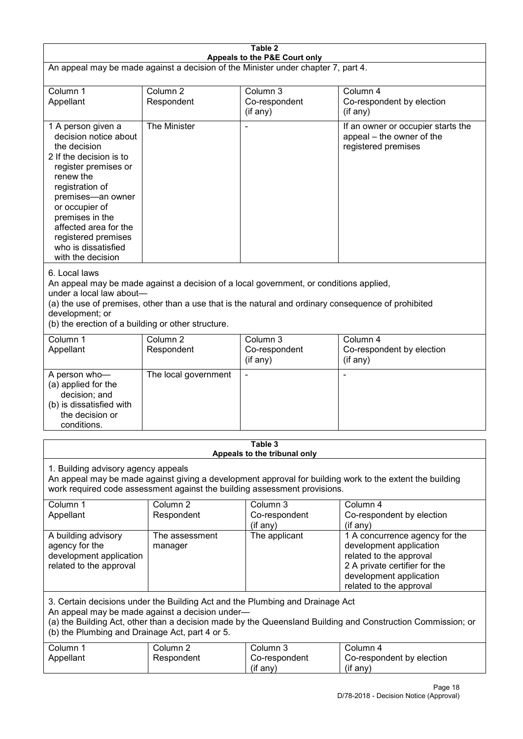| Table 2<br>Appeals to the P&E Court only                                                                                                                                                                                                                                                             |                                                                                                                                                                                                                                                                                                    |                                                                                                                                                                                                |                                                                                                                                                                             |  |
|------------------------------------------------------------------------------------------------------------------------------------------------------------------------------------------------------------------------------------------------------------------------------------------------------|----------------------------------------------------------------------------------------------------------------------------------------------------------------------------------------------------------------------------------------------------------------------------------------------------|------------------------------------------------------------------------------------------------------------------------------------------------------------------------------------------------|-----------------------------------------------------------------------------------------------------------------------------------------------------------------------------|--|
| An appeal may be made against a decision of the Minister under chapter 7, part 4.                                                                                                                                                                                                                    |                                                                                                                                                                                                                                                                                                    |                                                                                                                                                                                                |                                                                                                                                                                             |  |
| Column 1                                                                                                                                                                                                                                                                                             | Column <sub>2</sub>                                                                                                                                                                                                                                                                                | Column 3                                                                                                                                                                                       | Column 4                                                                                                                                                                    |  |
| Appellant                                                                                                                                                                                                                                                                                            | Respondent                                                                                                                                                                                                                                                                                         | Co-respondent<br>(if any)                                                                                                                                                                      | Co-respondent by election<br>(if any)                                                                                                                                       |  |
| 1 A person given a<br>decision notice about<br>the decision<br>2 If the decision is to<br>register premises or<br>renew the<br>registration of<br>premises-an owner<br>or occupier of<br>premises in the<br>affected area for the<br>registered premises<br>who is dissatisfied<br>with the decision | The Minister                                                                                                                                                                                                                                                                                       |                                                                                                                                                                                                | If an owner or occupier starts the<br>appeal – the owner of the<br>registered premises                                                                                      |  |
| 6. Local laws<br>under a local law about-<br>development; or<br>(b) the erection of a building or other structure.                                                                                                                                                                                   |                                                                                                                                                                                                                                                                                                    | An appeal may be made against a decision of a local government, or conditions applied,<br>(a) the use of premises, other than a use that is the natural and ordinary consequence of prohibited |                                                                                                                                                                             |  |
| Column 1<br>Appellant                                                                                                                                                                                                                                                                                | Column 2<br>Respondent                                                                                                                                                                                                                                                                             | Column 3<br>Co-respondent<br>(if any)                                                                                                                                                          | Column 4<br>Co-respondent by election<br>(if any)                                                                                                                           |  |
| A person who-<br>(a) applied for the<br>decision; and<br>(b) is dissatisfied with<br>the decision or<br>conditions.                                                                                                                                                                                  | The local government                                                                                                                                                                                                                                                                               |                                                                                                                                                                                                |                                                                                                                                                                             |  |
|                                                                                                                                                                                                                                                                                                      |                                                                                                                                                                                                                                                                                                    | Table 3<br>Appeals to the tribunal only                                                                                                                                                        |                                                                                                                                                                             |  |
| 1. Building advisory agency appeals                                                                                                                                                                                                                                                                  |                                                                                                                                                                                                                                                                                                    | work required code assessment against the building assessment provisions.                                                                                                                      | An appeal may be made against giving a development approval for building work to the extent the building                                                                    |  |
| Column 1<br>Appellant                                                                                                                                                                                                                                                                                | Column <sub>2</sub><br>Respondent                                                                                                                                                                                                                                                                  | Column 3<br>Co-respondent<br>(if any)                                                                                                                                                          | Column 4<br>Co-respondent by election<br>(if any)                                                                                                                           |  |
| A building advisory<br>agency for the<br>development application<br>related to the approval                                                                                                                                                                                                          | The assessment<br>manager                                                                                                                                                                                                                                                                          | The applicant                                                                                                                                                                                  | 1 A concurrence agency for the<br>development application<br>related to the approval<br>2 A private certifier for the<br>development application<br>related to the approval |  |
|                                                                                                                                                                                                                                                                                                      | 3. Certain decisions under the Building Act and the Plumbing and Drainage Act<br>An appeal may be made against a decision under-<br>(a) the Building Act, other than a decision made by the Queensland Building and Construction Commission; or<br>(b) the Plumbing and Drainage Act, part 4 or 5. |                                                                                                                                                                                                |                                                                                                                                                                             |  |
| Column 1<br>Appellant                                                                                                                                                                                                                                                                                | Column <sub>2</sub><br>Respondent                                                                                                                                                                                                                                                                  | Column 3<br>Co-respondent<br>(if any)                                                                                                                                                          | Column 4<br>Co-respondent by election<br>(if any)                                                                                                                           |  |